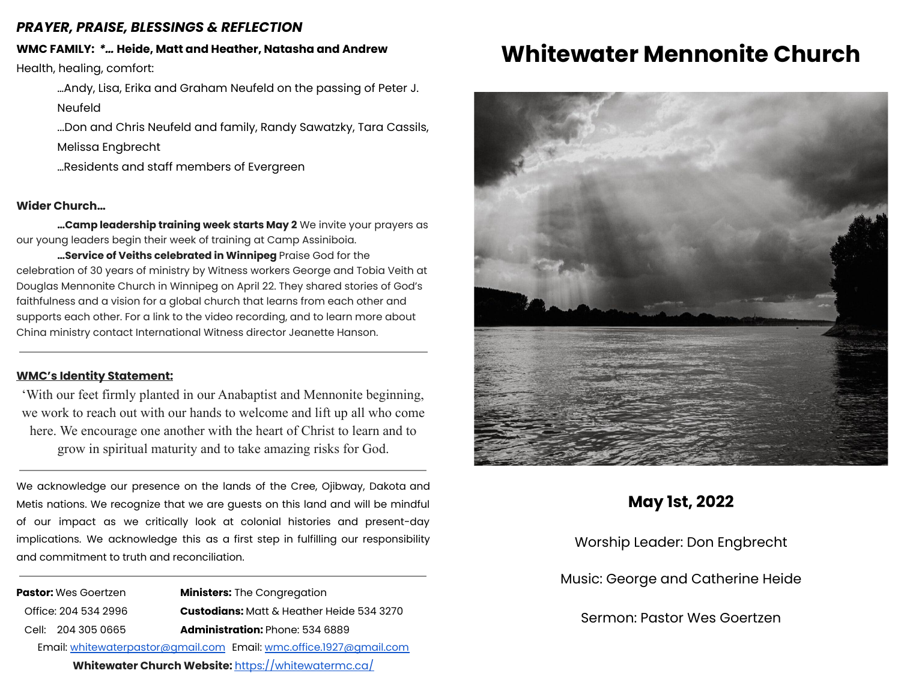### *PRAYER, PRAISE, BLESSINGS & REFLECTION*

# **WMC FAMILY:** *\*…* **Heide, Matt and Heather, Natasha and Andrew**

Health, healing, comfort:

…Andy, Lisa, Erika and Graham Neufeld on the passing of Peter J. Neufeld

...Don and Chris Neufeld and family, Randy Sawatzky, Tara Cassils, Melissa Engbrecht

…Residents and staff members of Evergreen

### **Wider Church…**

**…Camp leadership training week starts May 2** We invite your prayers as our young leaders begin their week of training at Camp Assiniboia.

**…Service of Veiths celebrated in Winnipeg** Praise God for the celebration of 30 years of ministry by Witness workers George and Tobia Veith at Douglas Mennonite Church in Winnipeg on April 22. They shared stories of God's faithfulness and a vision for a global church that learns from each other and supports each other. For a link to the video recording, and to learn more about China ministry contact International Witness director Jeanette Hanson.

#### **WMC's Identity Statement:**

'With our feet firmly planted in our Anabaptist and Mennonite beginning, we work to reach out with our hands to welcome and lift up all who come here. We encourage one another with the heart of Christ to learn and to grow in spiritual maturity and to take amazing risks for God.

We acknowledge our presence on the lands of the Cree, Ojibway, Dakota and Metis nations. We recognize that we are guests on this land and will be mindful of our impact as we critically look at colonial histories and present-day implications. We acknowledge this as a first step in fulfilling our responsibility and commitment to truth and reconciliation.

**Pastor:** Wes Goertzen **Ministers:** The Congregation Office: 204 534 2996 **Custodians:** Matt & Heather Heide 534 3270 Cell: 204 305 0665 **Administration:** Phone: 534 6889 Email: [whitewaterpastor@gmail.com](mailto:whitewaterpastor@gmail.com) Email: [wmc.office.1927@gmail.com](mailto:wmc.office.1927@gmail.com)

**Whitewater Church Website:** <https://whitewatermc.ca/>

# **Whitewater Mennonite Church**



## **May 1st, 2022**

Worship Leader: Don Engbrecht

Music: George and Catherine Heide

Sermon: Pastor Wes Goertzen